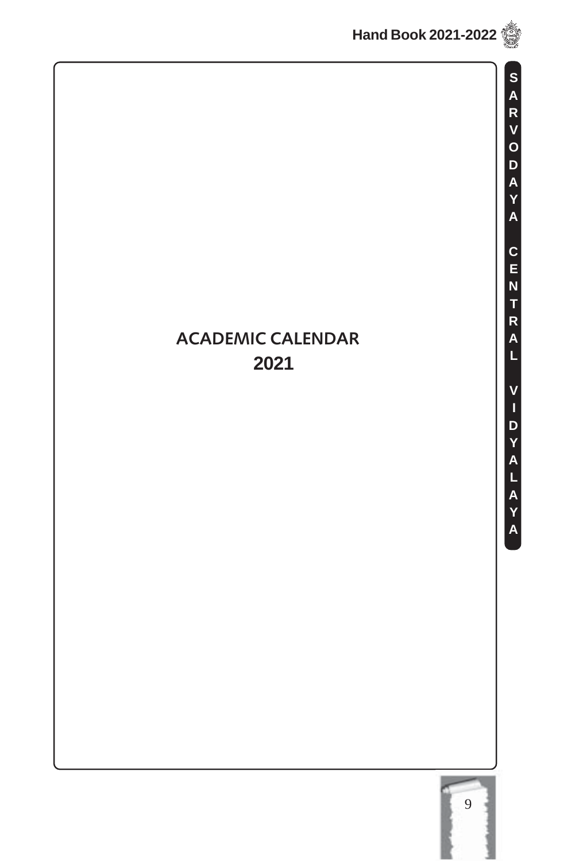

**S A R V O D A Y A C E N T R A L V I D Y A L A Y A**

### **ACADEMIC CALENDAR 2021**

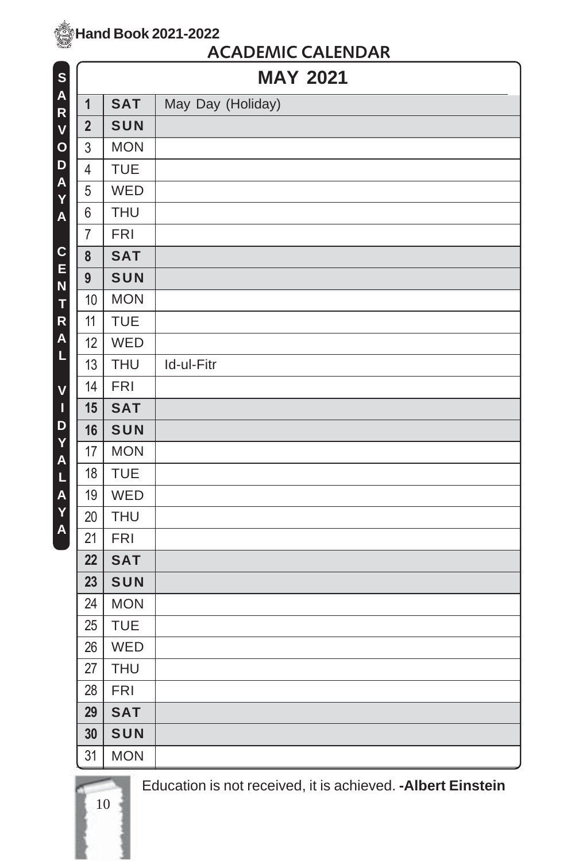10

#### **ACADEMIC CALENDAR**

| S            |                | <b>MAY 2021</b> |                   |  |
|--------------|----------------|-----------------|-------------------|--|
| A<br>R       | $\mathbf{1}$   | <b>SAT</b>      | May Day (Holiday) |  |
| V            | $\overline{2}$ | SUN             |                   |  |
| $\mathbf{o}$ | 3              | <b>MON</b>      |                   |  |
| D            | $\overline{4}$ | <b>TUE</b>      |                   |  |
| A<br>Y       | 5              | WED             |                   |  |
| A            | 6              | <b>THU</b>      |                   |  |
|              | $\overline{7}$ | <b>FRI</b>      |                   |  |
| C            | 8              | <b>SAT</b>      |                   |  |
| E<br>N       | 9              | SUN             |                   |  |
| T            | 10             | <b>MON</b>      |                   |  |
| R            | 11             | <b>TUE</b>      |                   |  |
| A            | 12             | WED             |                   |  |
| L            | 13             | <b>THU</b>      | Id-ul-Fitr        |  |
| V            | 14             | <b>FRI</b>      |                   |  |
| $\mathbf I$  | 15             | <b>SAT</b>      |                   |  |
| D<br>Y       | 16             | SUN             |                   |  |
| A            | 17             | <b>MON</b>      |                   |  |
| L            | 18             | <b>TUE</b>      |                   |  |
| A            | 19             | WED             |                   |  |
| Y<br>A       | 20             | <b>THU</b>      |                   |  |
|              | 21             | <b>FRI</b>      |                   |  |
|              | 22             | <b>SAT</b>      |                   |  |
|              | 23             | SUN             |                   |  |
|              | 24             | <b>MON</b>      |                   |  |
|              | 25             | <b>TUE</b>      |                   |  |
|              | 26             | WED             |                   |  |
|              | 27             | <b>THU</b>      |                   |  |
|              | 28             | <b>FRI</b>      |                   |  |
|              | 29             | <b>SAT</b>      |                   |  |
|              | 30             | SUN             |                   |  |
|              | 31             | <b>MON</b>      |                   |  |

Education is not received, it is achieved. **-Albert Einstein**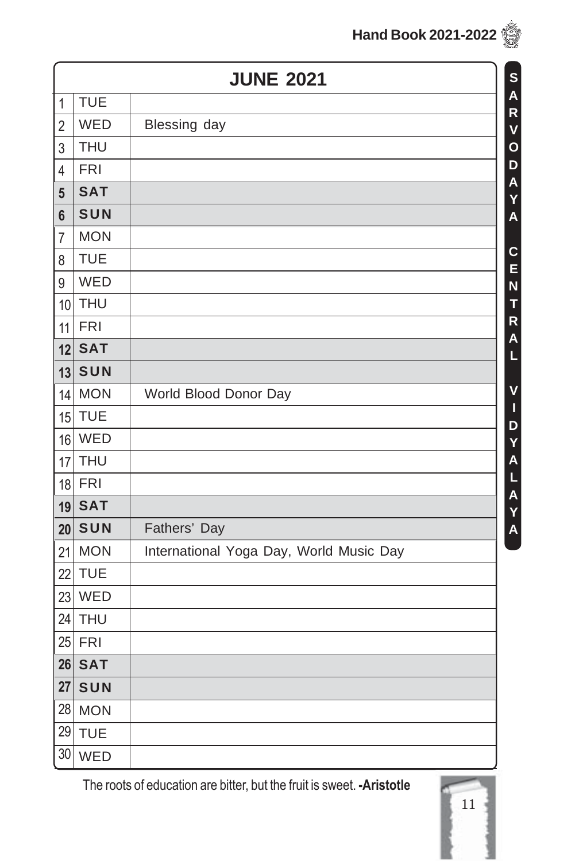|                | <b>JUNE 2021</b><br>S<br>A |                                         |  |  |  |
|----------------|----------------------------|-----------------------------------------|--|--|--|
| $\mathbf 1$    | <b>TUE</b>                 |                                         |  |  |  |
| $\overline{2}$ | WED                        | Blessing day                            |  |  |  |
| 3              | <b>THU</b>                 |                                         |  |  |  |
| $\overline{4}$ | <b>FRI</b>                 |                                         |  |  |  |
| 5              | <b>SAT</b>                 |                                         |  |  |  |
| $6\phantom{a}$ | SUN                        |                                         |  |  |  |
| $\overline{7}$ | <b>MON</b>                 |                                         |  |  |  |
| 8              | <b>TUE</b>                 |                                         |  |  |  |
| 9              | WED                        |                                         |  |  |  |
| 10             | <b>THU</b>                 |                                         |  |  |  |
| 11             | <b>FRI</b>                 |                                         |  |  |  |
| 12             | <b>SAT</b>                 |                                         |  |  |  |
| 13             | SUN                        |                                         |  |  |  |
| 14             | <b>MON</b>                 | World Blood Donor Day                   |  |  |  |
| 15             | <b>TUE</b>                 |                                         |  |  |  |
| 16             | WED                        |                                         |  |  |  |
| 17             | <b>THU</b>                 |                                         |  |  |  |
| 18             | <b>FRI</b>                 |                                         |  |  |  |
| 19             | <b>SAT</b>                 |                                         |  |  |  |
| 20             | SUN                        | Fathers' Day                            |  |  |  |
| 21             | <b>MON</b>                 | International Yoga Day, World Music Day |  |  |  |
| 22             | <b>TUE</b>                 |                                         |  |  |  |
| 23             | WED                        |                                         |  |  |  |
| 24             | <b>THU</b>                 |                                         |  |  |  |
|                | $25$ FRI                   |                                         |  |  |  |
|                | $26$ $SAT$                 |                                         |  |  |  |
| 27             | SUN                        |                                         |  |  |  |
| 28             | <b>MON</b>                 |                                         |  |  |  |
| 29             | <b>TUE</b>                 |                                         |  |  |  |
| 30             | WED                        |                                         |  |  |  |

The roots of education are bitter, but the fruit is sweet. **-Aristotle**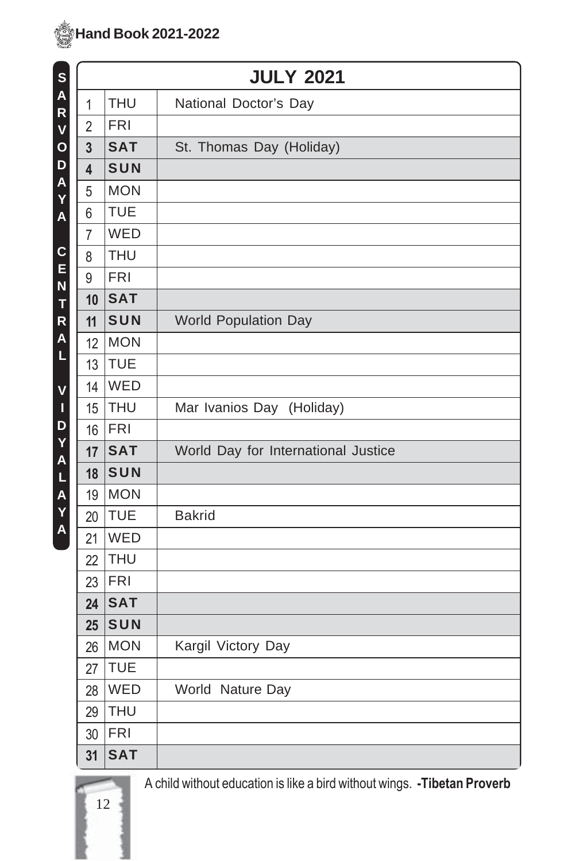| S            |                         | <b>JULY 2021</b> |                                     |  |  |
|--------------|-------------------------|------------------|-------------------------------------|--|--|
| A<br>R       | 1                       | <b>THU</b>       | National Doctor's Day               |  |  |
| $\mathsf{V}$ | $\overline{2}$          | <b>FRI</b>       |                                     |  |  |
| $\mathbf{o}$ | $\overline{3}$          | <b>SAT</b>       | St. Thomas Day (Holiday)            |  |  |
| D            | $\overline{\mathbf{4}}$ | SUN              |                                     |  |  |
| A<br>Y       | 5                       | <b>MON</b>       |                                     |  |  |
| A            | 6                       | <b>TUE</b>       |                                     |  |  |
|              | $\overline{7}$          | WED              |                                     |  |  |
| C            | 8                       | <b>THU</b>       |                                     |  |  |
| E<br>N       | 9                       | <b>FRI</b>       |                                     |  |  |
| T            | 10                      | <b>SAT</b>       |                                     |  |  |
| R            | 11                      | SUN              | <b>World Population Day</b>         |  |  |
| A            | 12                      | <b>MON</b>       |                                     |  |  |
| L            | 13                      | <b>TUE</b>       |                                     |  |  |
| V            | 14                      | WED              |                                     |  |  |
| $\mathbf I$  | 15                      | <b>THU</b>       | Mar Ivanios Day (Holiday)           |  |  |
| D<br>Y       | 16                      | <b>FRI</b>       |                                     |  |  |
| A            | 17                      | <b>SAT</b>       | World Day for International Justice |  |  |
| L            | 18                      | SUN              |                                     |  |  |
| A            | 19                      | <b>MON</b>       |                                     |  |  |
| Y<br>A       | 20                      | <b>TUE</b>       | <b>Bakrid</b>                       |  |  |
|              | 21                      | WED              |                                     |  |  |
|              | 22                      | <b>THU</b>       |                                     |  |  |
|              | 23                      | <b>FRI</b>       |                                     |  |  |
|              | 24                      | <b>SAT</b>       |                                     |  |  |
|              | 25                      | SUN              |                                     |  |  |
|              | 26                      | <b>MON</b>       | Kargil Victory Day                  |  |  |
|              | 27                      | <b>TUE</b>       |                                     |  |  |
|              | 28                      | WED              | World Nature Day                    |  |  |
|              | 29                      | <b>THU</b>       |                                     |  |  |
|              | 30                      | <b>FRI</b>       |                                     |  |  |
|              | 31                      | <b>SAT</b>       |                                     |  |  |

12

A child without education is like a bird without wings. **-Tibetan Proverb**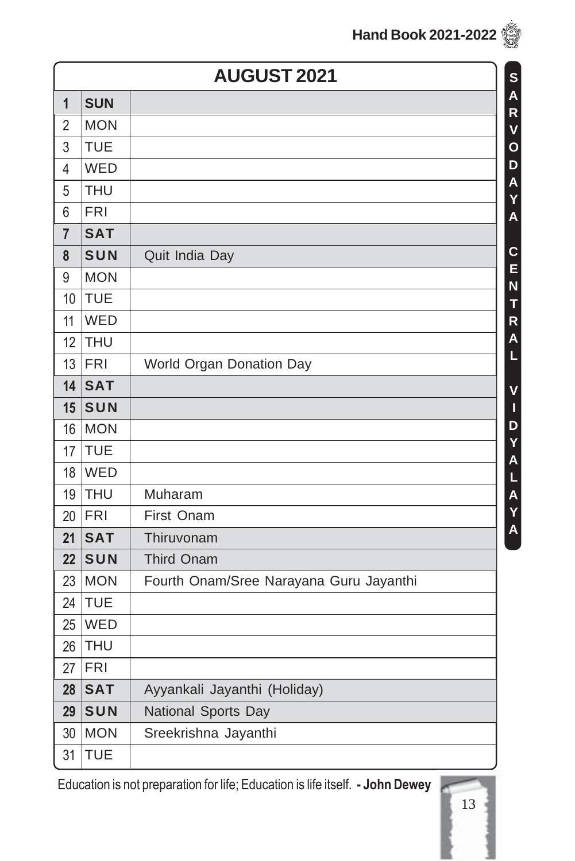|                | <b>AUGUST 2021</b><br>S<br>A |                                         |  |  |  |
|----------------|------------------------------|-----------------------------------------|--|--|--|
| $\mathbf{1}$   | <b>SUN</b>                   |                                         |  |  |  |
| $\overline{2}$ | <b>MON</b>                   |                                         |  |  |  |
| 3              | <b>TUE</b>                   |                                         |  |  |  |
| 4              | WED                          |                                         |  |  |  |
| 5              | <b>THU</b>                   |                                         |  |  |  |
| 6              | <b>FRI</b>                   |                                         |  |  |  |
| $\overline{7}$ | <b>SAT</b>                   |                                         |  |  |  |
| 8              | SUN                          | Quit India Day                          |  |  |  |
| 9              | <b>MON</b>                   |                                         |  |  |  |
| 10             | <b>TUE</b>                   |                                         |  |  |  |
| 11             | WED                          |                                         |  |  |  |
| 12             | THU                          |                                         |  |  |  |
| 13             | FRI                          | World Organ Donation Day                |  |  |  |
| 14             | <b>SAT</b>                   |                                         |  |  |  |
| 15             | SUN                          |                                         |  |  |  |
| 16             | <b>MON</b>                   |                                         |  |  |  |
| 17             | <b>TUE</b>                   |                                         |  |  |  |
| 18             | WED                          |                                         |  |  |  |
| 19             | <b>THU</b>                   | Muharam                                 |  |  |  |
| 20             | FRI                          | First Onam                              |  |  |  |
| 21             | <b>SAT</b>                   | Thiruvonam                              |  |  |  |
| 22             | SUN                          | <b>Third Onam</b>                       |  |  |  |
| 23             | <b>MON</b>                   | Fourth Onam/Sree Narayana Guru Jayanthi |  |  |  |
| 24             | <b>TUE</b>                   |                                         |  |  |  |
| 25             | WED                          |                                         |  |  |  |
| 26             | THU                          |                                         |  |  |  |
| 27             | <b>FRI</b>                   |                                         |  |  |  |
| 28             | <b>SAT</b>                   | Ayyankali Jayanthi (Holiday)            |  |  |  |
| 29             | SUN                          | National Sports Day                     |  |  |  |
| 30             | <b>MON</b>                   | Sreekrishna Jayanthi                    |  |  |  |
| 31             | <b>TUE</b>                   |                                         |  |  |  |

Education is not preparation for life; Education is life itself. **- John Dewey**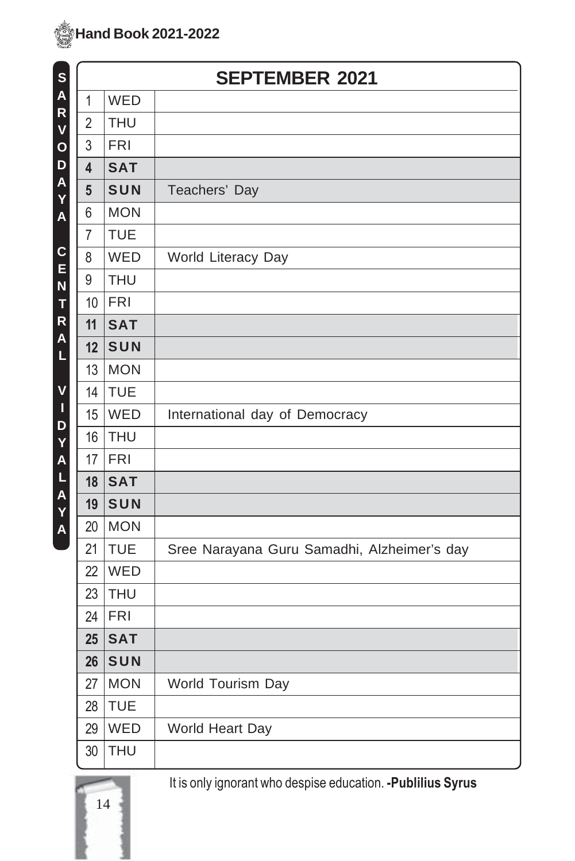14

| S            |                | <b>SEPTEMBER 2021</b> |                                             |  |
|--------------|----------------|-----------------------|---------------------------------------------|--|
| A            | $\mathbf{1}$   | WED                   |                                             |  |
| R<br>V       | $\overline{2}$ | <b>THU</b>            |                                             |  |
| $\mathbf{o}$ | 3              | <b>FRI</b>            |                                             |  |
| D            | 4              | <b>SAT</b>            |                                             |  |
| A<br>Y       | $5\phantom{1}$ | SUN                   | Teachers' Day                               |  |
| A            | 6              | <b>MON</b>            |                                             |  |
|              | $\overline{7}$ | <b>TUE</b>            |                                             |  |
| C<br>E       | 8              | WED                   | World Literacy Day                          |  |
| N            | 9              | <b>THU</b>            |                                             |  |
| T            | 10             | <b>FRI</b>            |                                             |  |
| R<br>A       | 11             | <b>SAT</b>            |                                             |  |
| L            | 12             | SUN                   |                                             |  |
|              | 13             | <b>MON</b>            |                                             |  |
| V            | 14             | <b>TUE</b>            |                                             |  |
| Ţ<br>D       | 15             | WED                   | International day of Democracy              |  |
| Y            | 16             | <b>THU</b>            |                                             |  |
| A            | 17             | <b>FRI</b>            |                                             |  |
| L            | 18             | <b>SAT</b>            |                                             |  |
| A<br>Y       | 19             | SUN                   |                                             |  |
| A            | 20             | <b>MON</b>            |                                             |  |
|              | 21             | <b>TUE</b>            | Sree Narayana Guru Samadhi, Alzheimer's day |  |
|              | 22             | WED                   |                                             |  |
|              | 23             | <b>THU</b>            |                                             |  |
|              | 24             | <b>FRI</b>            |                                             |  |
|              | 25             | <b>SAT</b>            |                                             |  |
|              | 26             | SUN                   |                                             |  |
|              | 27             | <b>MON</b>            | World Tourism Day                           |  |
|              | 28             | <b>TUE</b>            |                                             |  |
|              | 29             | <b>WED</b>            | World Heart Day                             |  |
|              | 30             | <b>THU</b>            |                                             |  |

It is only ignorant who despise education. **-Publilius Syrus**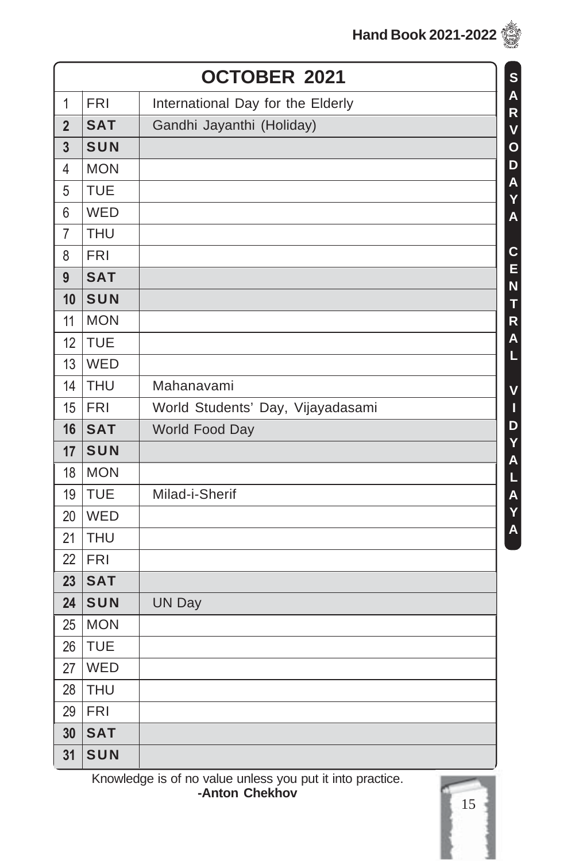|  | <b>Hand Book 2021-2022</b> |  |
|--|----------------------------|--|
|--|----------------------------|--|

|                |            | OCTOBER 2021<br>S                                                 |
|----------------|------------|-------------------------------------------------------------------|
| 1              | <b>FRI</b> | A<br>International Day for the Elderly<br>$\overline{\mathsf{R}}$ |
| $\overline{2}$ | <b>SAT</b> | Gandhi Jayanthi (Holiday)<br>$\overline{\mathsf{V}}$              |
| $\overline{3}$ | SUN        | $\mathbf{o}$                                                      |
| 4              | <b>MON</b> | D                                                                 |
| 5              | <b>TUE</b> | A<br>Ý                                                            |
| 6              | WED        | $\overline{\mathsf{A}}$                                           |
| $\overline{7}$ | <b>THU</b> |                                                                   |
| 8              | <b>FRI</b> | $\mathbf c$                                                       |
| 9              | <b>SAT</b> | E<br>N                                                            |
| 10             | SUN        | T                                                                 |
| 11             | <b>MON</b> | R                                                                 |
| 12             | <b>TUE</b> | A                                                                 |
| 13             | WED        | L                                                                 |
| 14             | <b>THU</b> | Mahanavami<br>$\mathsf{V}$                                        |
| 15             | <b>FRI</b> | World Students' Day, Vijayadasami<br>П                            |
| 16             | <b>SAT</b> | D<br>World Food Day                                               |
| 17             | SUN        | Y<br>$\overline{\mathsf{A}}$                                      |
| 18             | <b>MON</b> |                                                                   |
| 19             | <b>TUE</b> | Milad-i-Sherif                                                    |
| 20             | WED        | L<br>A<br>Y<br>A                                                  |
| 21             | <b>THU</b> |                                                                   |
| 22             | <b>FRI</b> |                                                                   |
| 23             | <b>SAT</b> |                                                                   |
| 24             | SUN        | <b>UN Day</b>                                                     |
| 25             | <b>MON</b> |                                                                   |
| 26             | <b>TUE</b> |                                                                   |
| 27             | WED        |                                                                   |
| 28             | <b>THU</b> |                                                                   |
| 29             | <b>FRI</b> |                                                                   |
| 30             | <b>SAT</b> |                                                                   |
| 31             | SUN        |                                                                   |
|                |            | Knowledge is of no value unless you put it into practice.         |

**-Anton Chekhov**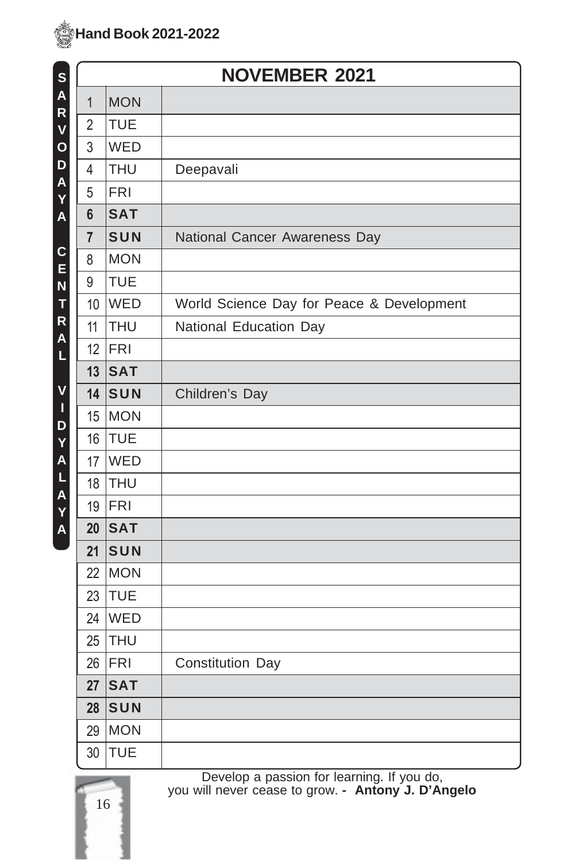

| S                | <b>NOVEMBER 2021</b> |            |                                           |
|------------------|----------------------|------------|-------------------------------------------|
| A                | $\mathbf{1}$         | <b>MON</b> |                                           |
| R<br>V           | $\overline{2}$       | <b>TUE</b> |                                           |
| $\mathbf{o}$     | 3                    | WED        |                                           |
| D                | $\overline{4}$       | <b>THU</b> | Deepavali                                 |
| A<br>Y           | 5                    | <b>FRI</b> |                                           |
| A                | 6                    | <b>SAT</b> |                                           |
|                  | $\overline{7}$       | SUN        | National Cancer Awareness Day             |
| $\mathbf c$<br>E | 8                    | <b>MON</b> |                                           |
| N                | 9                    | <b>TUE</b> |                                           |
| T                | 10                   | WED        | World Science Day for Peace & Development |
| R<br>A           | 11                   | <b>THU</b> | National Education Day                    |
| L                | 12                   | <b>FRI</b> |                                           |
|                  | 13                   | <b>SAT</b> |                                           |
| V                | 14                   | SUN        | Children's Day                            |
| $\mathbf I$<br>D | 15                   | MON        |                                           |
| Y                | 16                   | TUE        |                                           |
| A                | 17                   | WED        |                                           |
| L<br>A           | 18                   | THU        |                                           |
| Y                | 19                   | FRI        |                                           |
| A                | 20                   | <b>SAT</b> |                                           |
|                  | 21                   | SUN        |                                           |
|                  | 22                   | <b>MON</b> |                                           |
|                  | 23                   | <b>TUE</b> |                                           |
|                  | 24                   | WED        |                                           |
|                  | 25                   | <b>THU</b> |                                           |
|                  | 26                   | FRI        | Constitution Day                          |
|                  | 27                   | <b>SAT</b> |                                           |
|                  | 28                   | SUN        |                                           |
|                  | 29                   | <b>MON</b> |                                           |
|                  | 30                   | <b>TUE</b> |                                           |

16

Develop a passion for learning. If you do, you will never cease to grow. **- Antony J. D'Angelo**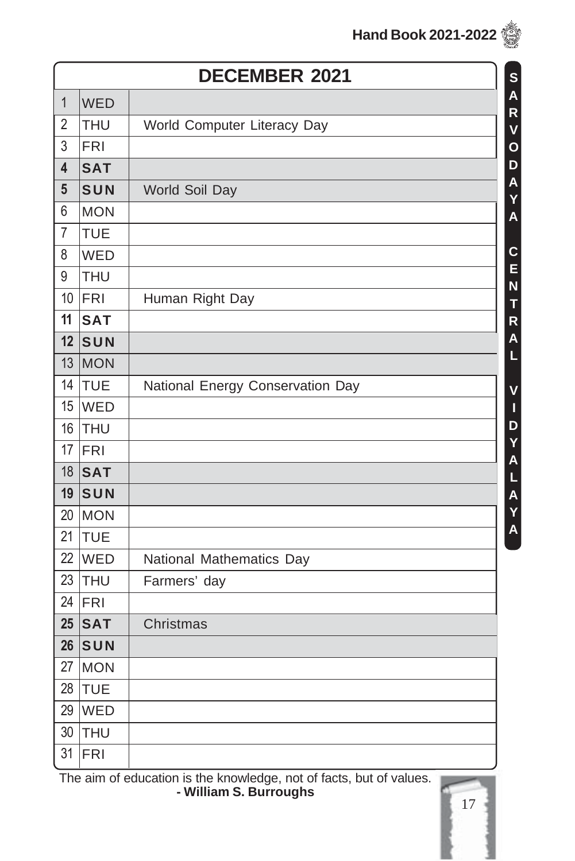|                         |            | <b>DECEMBER 2021</b>             | S                            |
|-------------------------|------------|----------------------------------|------------------------------|
| $\mathbf{1}$            | <b>WED</b> |                                  | $\overline{\mathsf{A}}$      |
| $\overline{2}$          | <b>THU</b> | World Computer Literacy Day      | R<br>$\overline{\mathsf{V}}$ |
| 3                       | <b>FRI</b> |                                  | $\mathsf{o}$                 |
| $\overline{\mathbf{4}}$ | <b>SAT</b> |                                  | D                            |
| $5\phantom{.0}$         | SUN        | World Soil Day                   | $\overline{\mathsf{A}}$<br>Y |
| 6                       | <b>MON</b> |                                  | $\overline{\mathsf{A}}$      |
| $\overline{7}$          | <b>TUE</b> |                                  |                              |
| 8                       | WED        |                                  | $\mathbf c$<br>E             |
| 9                       | <b>THU</b> |                                  | N                            |
| 10                      | FRI        | Human Right Day                  | T                            |
| 11                      | <b>SAT</b> |                                  | R                            |
| 12                      | SUN        |                                  | A<br>Ĺ                       |
| 13                      | MON        |                                  |                              |
| 14                      | TUE        | National Energy Conservation Day | V                            |
| 15                      | WED        |                                  | I                            |
| 16                      | THU        |                                  | D                            |
| 17                      | FRI        |                                  | Y A L A Y A                  |
| 18                      | <b>SAT</b> |                                  |                              |
| 19                      | SUN        |                                  |                              |
| 20                      | MON        |                                  |                              |
| 21                      | TUE        |                                  |                              |
| 22                      | <b>WED</b> | National Mathematics Day         |                              |
| 23                      | THU        | Farmers' day                     |                              |
| 24                      | FRI        |                                  |                              |
| 25                      | <b>SAT</b> | Christmas                        |                              |
| 26                      | SUN        |                                  |                              |
| 27                      | MON        |                                  |                              |
| 28                      | TUE        |                                  |                              |
| 29                      | WED        |                                  |                              |
| 30                      | THU        |                                  |                              |
| 31                      | <b>FRI</b> |                                  |                              |

The aim of education is the knowledge, not of facts, but of values. **- William S. Burroughs**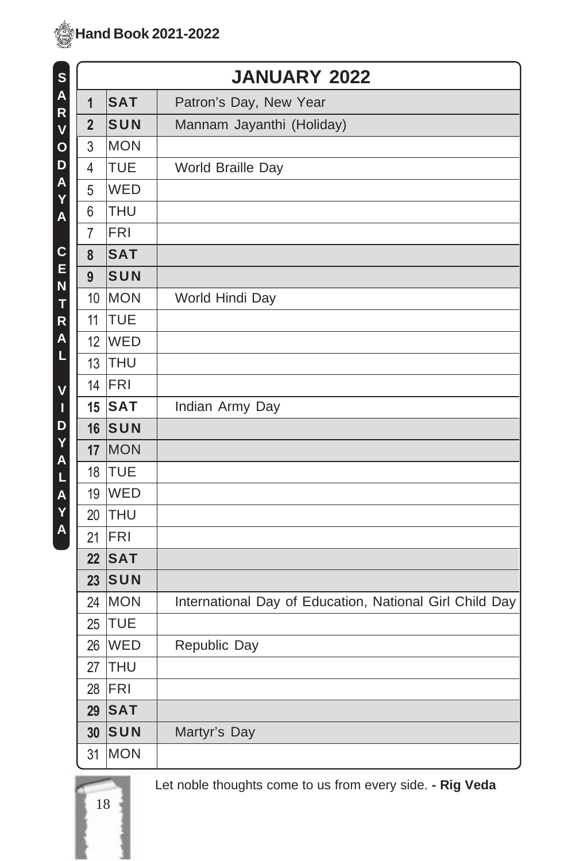| S            |                |            | <b>JANUARY 2022</b>                                     |
|--------------|----------------|------------|---------------------------------------------------------|
| A            | 1              | <b>SAT</b> | Patron's Day, New Year                                  |
| R<br>V       | $\overline{2}$ | SUN        | Mannam Jayanthi (Holiday)                               |
| $\mathbf{o}$ | 3              | <b>MON</b> |                                                         |
| D            | 4              | <b>TUE</b> | World Braille Day                                       |
| A<br>Y       | 5              | WED        |                                                         |
| A            | 6              | <b>THU</b> |                                                         |
|              | $\overline{7}$ | <b>FRI</b> |                                                         |
| C            | 8              | <b>SAT</b> |                                                         |
| E<br>N       | 9              | SUN        |                                                         |
| T            | 10             | MON        | World Hindi Day                                         |
| R            | 11             | <b>TUE</b> |                                                         |
| A            | 12             | WED        |                                                         |
| L            | 13             | THU        |                                                         |
| V            | 14             | FRI        |                                                         |
| $\mathbf I$  | 15             | <b>SAT</b> | Indian Army Day                                         |
| D<br>Y       | 16             | SUN        |                                                         |
| A            | 17             | MON        |                                                         |
| L            | 18             | <b>TUE</b> |                                                         |
| A            | 19             | <b>WED</b> |                                                         |
| Y<br>A       | 20             | <b>THU</b> |                                                         |
|              | 21             | <b>FRI</b> |                                                         |
|              | 22             | <b>SAT</b> |                                                         |
|              | 23             | SUN        |                                                         |
|              | 24             | <b>MON</b> | International Day of Education, National Girl Child Day |
|              | 25             | <b>TUE</b> |                                                         |
|              | 26             | <b>WED</b> | Republic Day                                            |
|              | 27             | THU        |                                                         |
|              | 28             | FRI        |                                                         |
|              | 29             | <b>SAT</b> |                                                         |
|              | 30             | SUN        | Martyr's Day                                            |
|              | 31             | <b>MON</b> |                                                         |

18

Let noble thoughts come to us from every side. **- Rig Veda**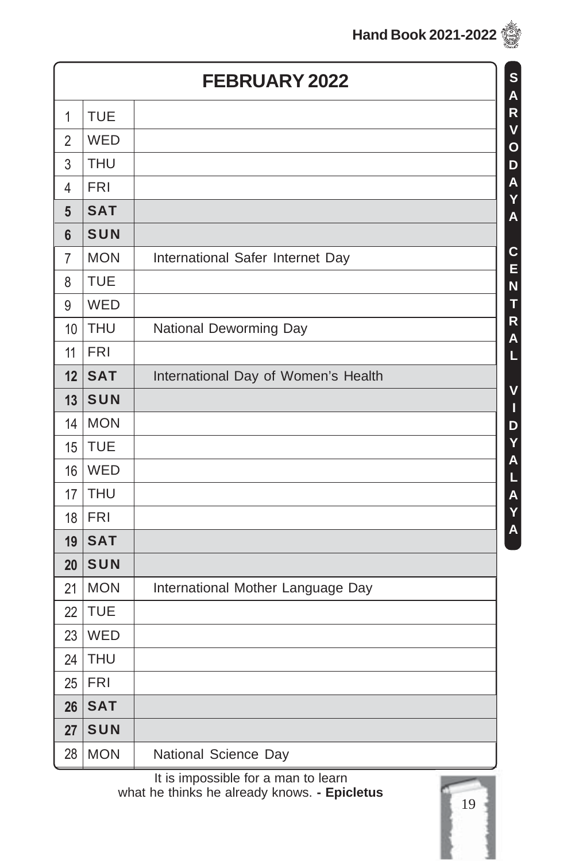|                 |            | <b>FEBRUARY 2022</b>                |
|-----------------|------------|-------------------------------------|
| $\mathbf{1}$    | <b>TUE</b> |                                     |
| $\overline{2}$  | WED        |                                     |
| 3               | <b>THU</b> |                                     |
| $\overline{4}$  | <b>FRI</b> |                                     |
| $5\phantom{.0}$ | <b>SAT</b> |                                     |
| 6               | SUN        |                                     |
| 7               | <b>MON</b> | International Safer Internet Day    |
| 8               | <b>TUE</b> |                                     |
| 9               | WED        |                                     |
| 10              | <b>THU</b> | National Deworming Day              |
| 11              | <b>FRI</b> |                                     |
| 12              | <b>SAT</b> | International Day of Women's Health |
| 13              | SUN        |                                     |
| 14              | <b>MON</b> |                                     |
| 15              | <b>TUE</b> |                                     |
| 16              | WED        |                                     |
| 17              | <b>THU</b> |                                     |
| 18              | <b>FRI</b> |                                     |
| 19              | <b>SAT</b> |                                     |
| 20              | SUN        |                                     |
| 21              | <b>MON</b> | International Mother Language Day   |
| 22              | <b>TUE</b> |                                     |
| 23              | WED        |                                     |
| 24              | <b>THU</b> |                                     |
| 25              | <b>FRI</b> |                                     |
| 26              | <b>SAT</b> |                                     |
| 27              | SUN        |                                     |
| 28              | <b>MON</b> | National Science Day                |

It is impossible for a man to learn what he thinks he already knows. **- Epicletus**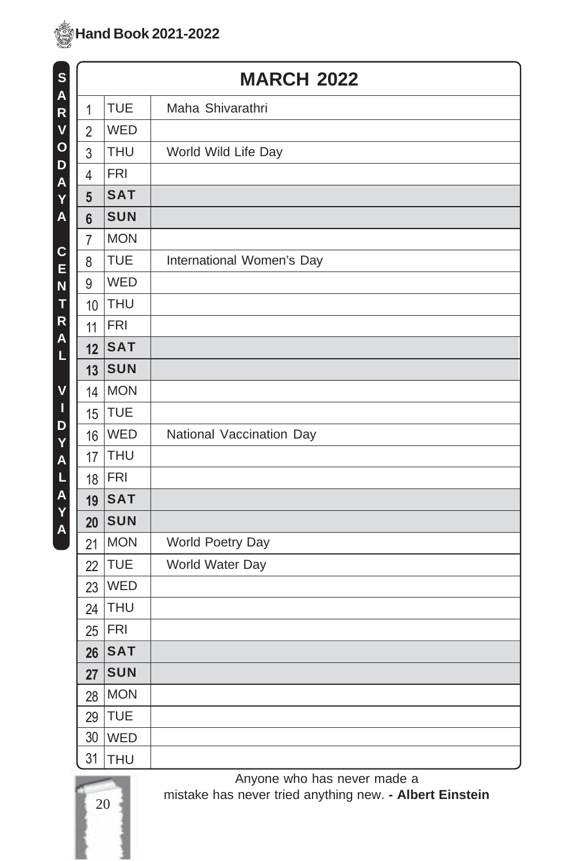

| S<br>A       |                 |            | <b>MARCH 2022</b>         |
|--------------|-----------------|------------|---------------------------|
| R            | 1               | <b>TUE</b> | Maha Shivarathri          |
| V            | $\overline{2}$  | WED        |                           |
| $\mathbf{o}$ | 3               | <b>THU</b> | World Wild Life Day       |
| D<br>A       | 4               | <b>FRI</b> |                           |
| Y            | $5\phantom{.0}$ | <b>SAT</b> |                           |
| A            | $6\phantom{a}$  | <b>SUN</b> |                           |
| C            | $\overline{7}$  | <b>MON</b> |                           |
| E            | 8               | <b>TUE</b> | International Women's Day |
| N            | 9               | WED        |                           |
| T            | 10              | <b>THU</b> |                           |
| R<br>A       | 11              | <b>FRI</b> |                           |
| L            | 12              | <b>SAT</b> |                           |
|              | 13              | <b>SUN</b> |                           |
| V            | 14              | <b>MON</b> |                           |
| I<br>D       | 15              | <b>TUE</b> |                           |
| Y            | 16              | WED        | National Vaccination Day  |
| A            | 17              | <b>THU</b> |                           |
| L            | 18              | <b>FRI</b> |                           |
| A<br>Y       | 19              | <b>SAT</b> |                           |
| A            | 20              | <b>SUN</b> |                           |
|              | 21              | <b>MON</b> | World Poetry Day          |
|              | 22              | <b>TUE</b> | World Water Day           |
|              | 23              | WED        |                           |
|              | 24              | <b>THU</b> |                           |
|              | 25              | <b>FRI</b> |                           |
|              | 26              | <b>SAT</b> |                           |
|              | 27              | <b>SUN</b> |                           |
|              | 28              | <b>MON</b> |                           |
|              | 29              | <b>TUE</b> |                           |
|              | 30              | <b>WED</b> |                           |
|              | 31              | <b>THU</b> |                           |

20

Anyone who has never made a mistake has never tried anything new. **- Albert Einstein**